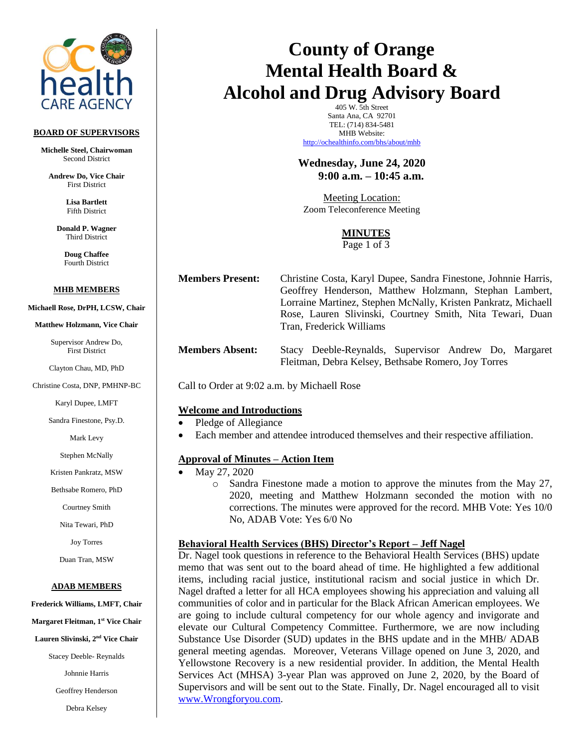

#### **BOARD OF SUPERVISORS**

**Michelle Steel, Chairwoman** Second District

**Andrew Do, Vice Chair** First District

> **Lisa Bartlett** Fifth District

**Donald P. Wagner** Third District

> **Doug Chaffee** Fourth District

#### **MHB MEMBERS**

**Michaell Rose, DrPH, LCSW, Chair** 

**Matthew Holzmann, Vice Chair**

Supervisor Andrew Do, First District

Clayton Chau, MD, PhD

Christine Costa, DNP, PMHNP-BC

Karyl Dupee, LMFT

Sandra Finestone, Psy.D.

Mark Levy

Stephen McNally

Kristen Pankratz, MSW

Bethsabe Romero, PhD

Courtney Smith

Nita Tewari, PhD

Joy Torres

Duan Tran, MSW

#### **ADAB MEMBERS**

**Frederick Williams, LMFT, Chair** 

**Margaret Fleitman, 1 st Vice Chair**

**Lauren Slivinski, 2 nd Vice Chair**

Stacey Deeble- Reynalds

Johnnie Harris

Geoffrey Henderson

Debra Kelsey

# **County of Orange Mental Health Board & Alcohol and Drug Advisory Board**

405 W. 5th Street Santa Ana, CA 92701 TEL: (714) 834-5481 MHB Website: <http://ochealthinfo.com/bhs/about/mhb>

# **Wednesday, June 24, 2020 9:00 a.m. – 10:45 a.m.**

Meeting Location: Zoom Teleconference Meeting

# **MINUTES**

Page 1 of 3

**Members Present:** Christine Costa, Karyl Dupee, Sandra Finestone, Johnnie Harris, Geoffrey Henderson, Matthew Holzmann, Stephan Lambert, Lorraine Martinez, Stephen McNally, Kristen Pankratz, Michaell Rose, Lauren Slivinski, Courtney Smith, Nita Tewari, Duan Tran, Frederick Williams

**Members Absent:** Stacy Deeble-Reynalds, Supervisor Andrew Do, Margaret Fleitman, Debra Kelsey, Bethsabe Romero, Joy Torres

Call to Order at 9:02 a.m. by Michaell Rose

# **Welcome and Introductions**

- Pledge of Allegiance
- Each member and attendee introduced themselves and their respective affiliation.

# **Approval of Minutes – Action Item**

- May 27, 2020
	- o Sandra Finestone made a motion to approve the minutes from the May 27, 2020, meeting and Matthew Holzmann seconded the motion with no corrections. The minutes were approved for the record. MHB Vote: Yes 10/0 No, ADAB Vote: Yes 6/0 No

# **Behavioral Health Services (BHS) Director's Report – Jeff Nagel**

Dr. Nagel took questions in reference to the Behavioral Health Services (BHS) update memo that was sent out to the board ahead of time. He highlighted a few additional items, including racial justice, institutional racism and social justice in which Dr. Nagel drafted a letter for all HCA employees showing his appreciation and valuing all communities of color and in particular for the Black African American employees. We are going to include cultural competency for our whole agency and invigorate and elevate our Cultural Competency Committee. Furthermore, we are now including Substance Use Disorder (SUD) updates in the BHS update and in the MHB/ ADAB general meeting agendas. Moreover, Veterans Village opened on June 3, 2020, and Yellowstone Recovery is a new residential provider. In addition, the Mental Health Services Act (MHSA) 3-year Plan was approved on June 2, 2020, by the Board of Supervisors and will be sent out to the State. Finally, Dr. Nagel encouraged all to visit [www.Wrongforyou.com.](http://www.wrongforyou.com/)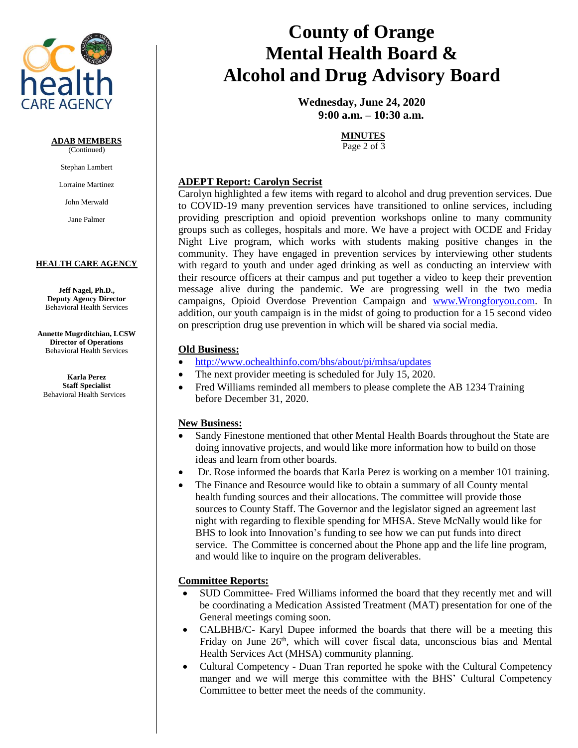

# **ADAB MEMBERS**

(Continued)

Stephan Lambert

Lorraine Martinez

John Merwald

Jane Palmer

#### **HEALTH CARE AGENCY**

**Jeff Nagel, Ph.D., Deputy Agency Director** Behavioral Health Services

**Annette Mugrditchian, LCSW Director of Operations** Behavioral Health Services

**Karla Perez Staff Specialist** Behavioral Health Services

# **County of Orange Mental Health Board & Alcohol and Drug Advisory Board**

**Wednesday, June 24, 2020 9:00 a.m. – 10:30 a.m.**

# **MINUTES**

Page 2 of 3

# **ADEPT Report: Carolyn Secrist**

Carolyn highlighted a few items with regard to alcohol and drug prevention services. Due to COVID-19 many prevention services have transitioned to online services, including providing prescription and opioid prevention workshops online to many community groups such as colleges, hospitals and more. We have a project with OCDE and Friday Night Live program, which works with students making positive changes in the community. They have engaged in prevention services by interviewing other students with regard to youth and under aged drinking as well as conducting an interview with their resource officers at their campus and put together a video to keep their prevention message alive during the pandemic. We are progressing well in the two media campaigns, Opioid Overdose Prevention Campaign and [www.Wrongforyou.com.](http://www.wrongforyou.com/) In addition, our youth campaign is in the midst of going to production for a 15 second video on prescription drug use prevention in which will be shared via social media.

# **Old Business:**

- <http://www.ochealthinfo.com/bhs/about/pi/mhsa/updates>
- The next provider meeting is scheduled for July 15, 2020.
- Fred Williams reminded all members to please complete the AB 1234 Training before December 31, 2020.

# **New Business:**

- Sandy Finestone mentioned that other Mental Health Boards throughout the State are doing innovative projects, and would like more information how to build on those ideas and learn from other boards.
- Dr. Rose informed the boards that Karla Perez is working on a member 101 training.
- The Finance and Resource would like to obtain a summary of all County mental health funding sources and their allocations. The committee will provide those sources to County Staff. The Governor and the legislator signed an agreement last night with regarding to flexible spending for MHSA. Steve McNally would like for BHS to look into Innovation's funding to see how we can put funds into direct service. The Committee is concerned about the Phone app and the life line program, and would like to inquire on the program deliverables.

# **Committee Reports:**

- SUD Committee- Fred Williams informed the board that they recently met and will be coordinating a Medication Assisted Treatment (MAT) presentation for one of the General meetings coming soon.
- CALBHB/C- Karyl Dupee informed the boards that there will be a meeting this Friday on June 26<sup>th</sup>, which will cover fiscal data, unconscious bias and Mental Health Services Act (MHSA) community planning.
- Cultural Competency Duan Tran reported he spoke with the Cultural Competency manger and we will merge this committee with the BHS' Cultural Competency Committee to better meet the needs of the community.